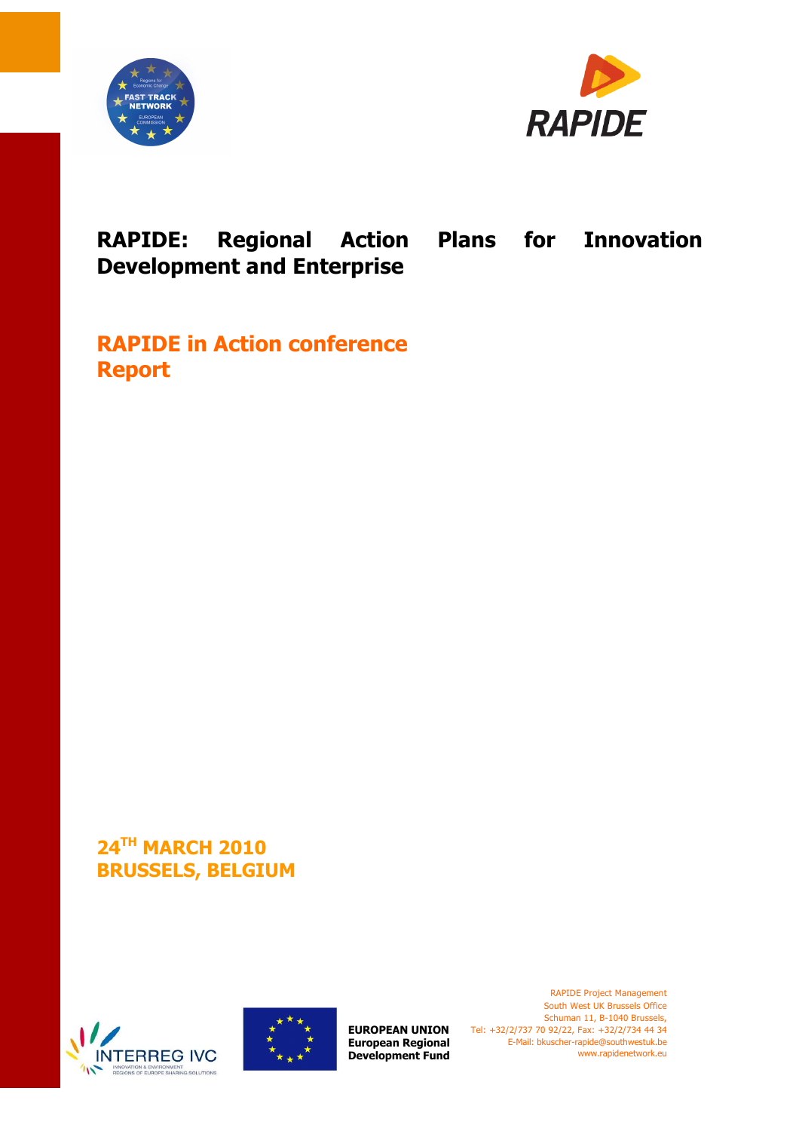



# **RAPIDE: Regional Action Plans for Innovation Development and Enterprise**

**RAPIDE in Action conference Report** 

**24TH MARCH 2010 BRUSSELS, BELGIUM** 





**European Regional Development Fund**

**EUROPEAN UNION** Tel: +32/2/737 70 92/22, Fax: +32/2/734 44 34 RAPIDE Project Management South West UK Brussels Office Schuman 11, B-1040 Brussels, E-Mail: bkuscher-rapide@southwestuk.be www.rapidenetwork.eu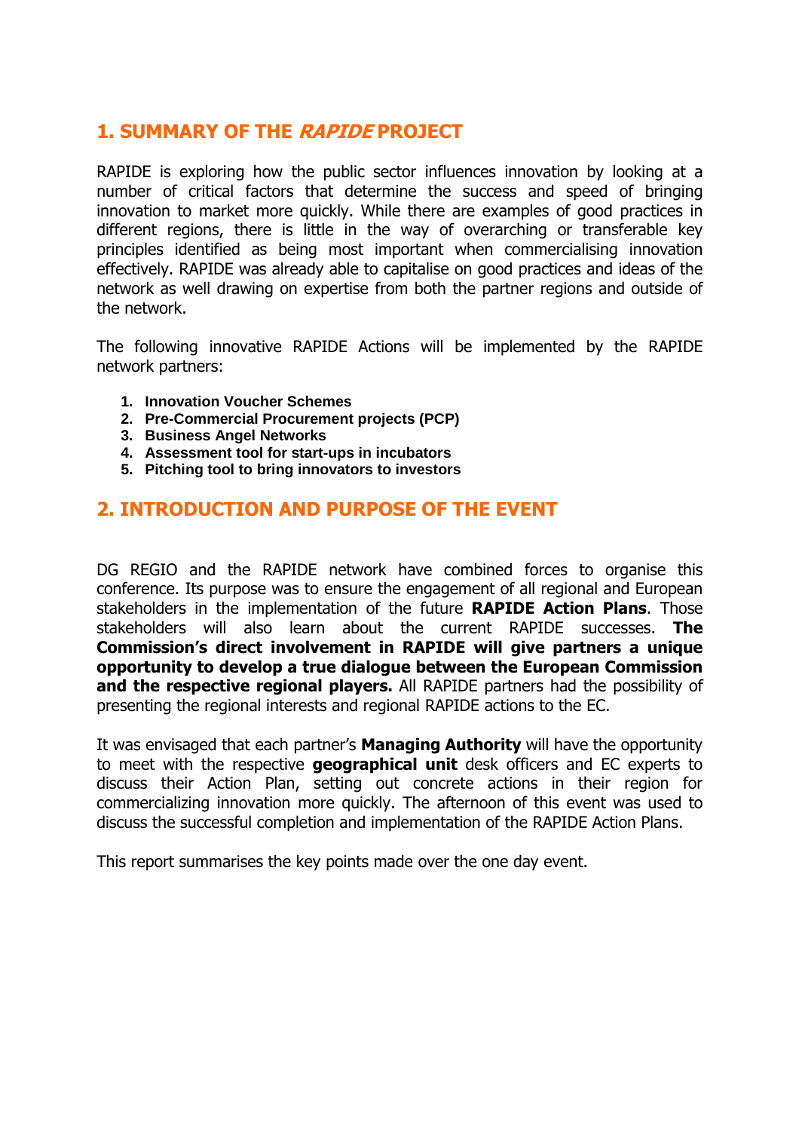# **1. SUMMARY OF THE RAPIDE PROJECT**

RAPIDE is exploring how the public sector influences innovation by looking at a number of critical factors that determine the success and speed of bringing innovation to market more quickly. While there are examples of good practices in different regions, there is little in the way of overarching or transferable key principles identified as being most important when commercialising innovation effectively. RAPIDE was already able to capitalise on good practices and ideas of the network as well drawing on expertise from both the partner regions and outside of the network.

The following innovative RAPIDE Actions will be implemented by the RAPIDE network partners:

- **1. Innovation Voucher Schemes**
- **2. Pre-Commercial Procurement projects (PCP)**
- **3. Business Angel Networks**
- **4. Assessment tool for start-ups in incubators**
- **5. Pitching tool to bring innovators to investors**

# **2. INTRODUCTION AND PURPOSE OF THE EVENT**

DG REGIO and the RAPIDE network have combined forces to organise this conference. Its purpose was to ensure the engagement of all regional and European stakeholders in the implementation of the future **RAPIDE Action Plans**. Those stakeholders will also learn about the current RAPIDE successes. **The Commission's direct involvement in RAPIDE will give partners a unique opportunity to develop a true dialogue between the European Commission and the respective regional players.** All RAPIDE partners had the possibility of presenting the regional interests and regional RAPIDE actions to the EC.

It was envisaged that each partner's **Managing Authority** will have the opportunity to meet with the respective **geographical unit** desk officers and EC experts to discuss their Action Plan, setting out concrete actions in their region for commercializing innovation more quickly. The afternoon of this event was used to discuss the successful completion and implementation of the RAPIDE Action Plans.

This report summarises the key points made over the one day event.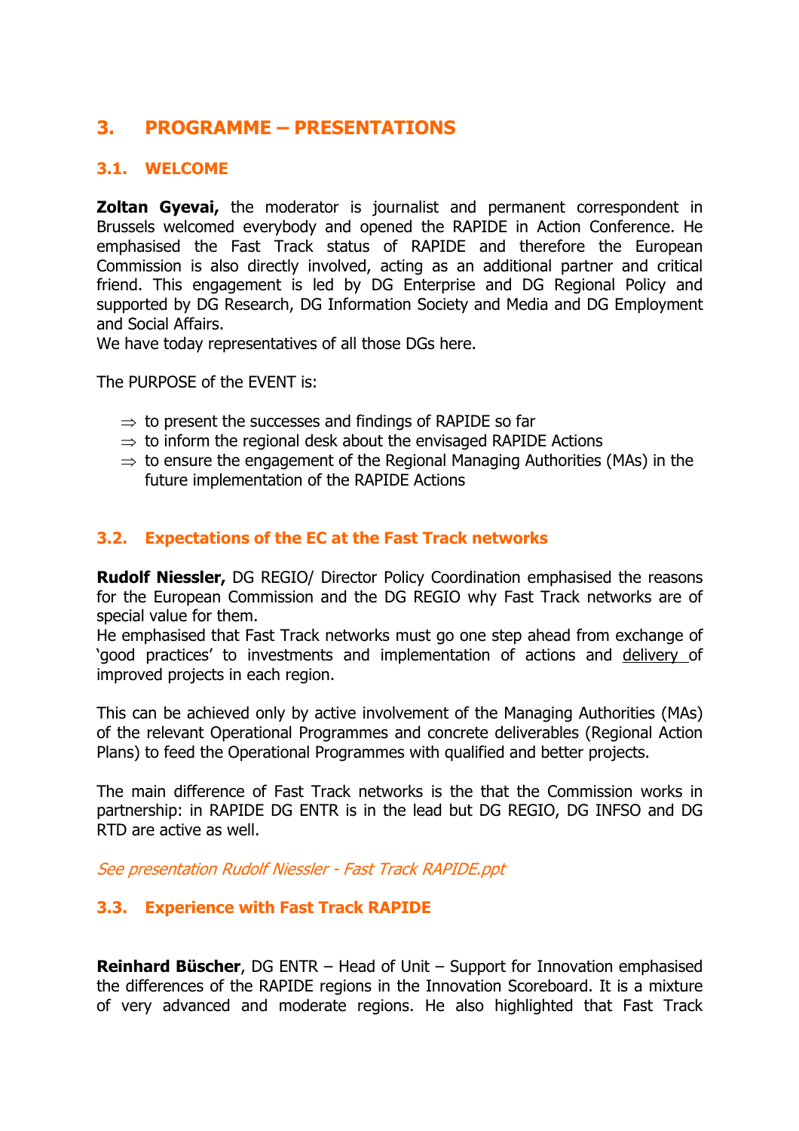# **3. PROGRAMME – PRESENTATIONS**

# **3.1. WELCOME**

**Zoltan Gyevai,** the moderator is journalist and permanent correspondent in Brussels welcomed everybody and opened the RAPIDE in Action Conference. He emphasised the Fast Track status of RAPIDE and therefore the European Commission is also directly involved, acting as an additional partner and critical friend. This engagement is led by DG Enterprise and DG Regional Policy and supported by DG Research, DG Information Society and Media and DG Employment and Social Affairs.

We have today representatives of all those DGs here.

The PURPOSE of the EVENT is:

- $\Rightarrow$  to present the successes and findings of RAPIDE so far
- $\Rightarrow$  to inform the regional desk about the envisaged RAPIDE Actions
- $\Rightarrow$  to ensure the engagement of the Regional Managing Authorities (MAs) in the future implementation of the RAPIDE Actions

# **3.2. Expectations of the EC at the Fast Track networks**

**Rudolf Niessler,** DG REGIO/ Director Policy Coordination emphasised the reasons for the European Commission and the DG REGIO why Fast Track networks are of special value for them.

He emphasised that Fast Track networks must go one step ahead from exchange of 'good practices' to investments and implementation of actions and delivery of improved projects in each region.

This can be achieved only by active involvement of the Managing Authorities (MAs) of the relevant Operational Programmes and concrete deliverables (Regional Action Plans) to feed the Operational Programmes with qualified and better projects.

The main difference of Fast Track networks is the that the Commission works in partnership: in RAPIDE DG ENTR is in the lead but DG REGIO, DG INFSO and DG RTD are active as well.

See presentation Rudolf Niessler - Fast Track RAPIDE.ppt

### **3.3. Experience with Fast Track RAPIDE**

**Reinhard Büscher**, DG ENTR – Head of Unit – Support for Innovation emphasised the differences of the RAPIDE regions in the Innovation Scoreboard. It is a mixture of very advanced and moderate regions. He also highlighted that Fast Track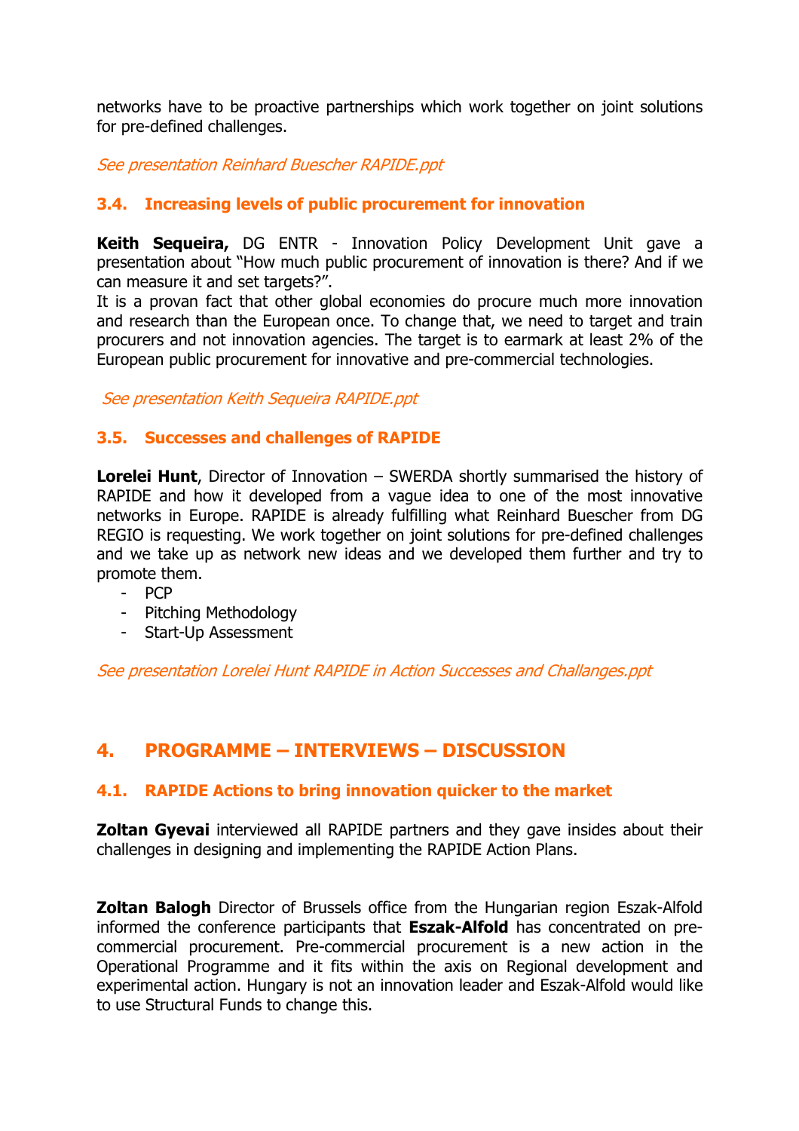networks have to be proactive partnerships which work together on joint solutions for pre-defined challenges.

See presentation Reinhard Buescher RAPIDE.ppt

# **3.4. Increasing levels of public procurement for innovation**

**Keith Sequeira,** DG ENTR - Innovation Policy Development Unit gave a presentation about "How much public procurement of innovation is there? And if we can measure it and set targets?".

It is a provan fact that other global economies do procure much more innovation and research than the European once. To change that, we need to target and train procurers and not innovation agencies. The target is to earmark at least 2% of the European public procurement for innovative and pre-commercial technologies.

See presentation Keith Sequeira RAPIDE.ppt

### **3.5. Successes and challenges of RAPIDE**

**Lorelei Hunt**, Director of Innovation – SWERDA shortly summarised the history of RAPIDE and how it developed from a vague idea to one of the most innovative networks in Europe. RAPIDE is already fulfilling what Reinhard Buescher from DG REGIO is requesting. We work together on joint solutions for pre-defined challenges and we take up as network new ideas and we developed them further and try to promote them.

- PCP
- Pitching Methodology
- Start-Up Assessment

See presentation Lorelei Hunt RAPIDE in Action Successes and Challanges.ppt

# **4. PROGRAMME – INTERVIEWS – DISCUSSION**

### **4.1. RAPIDE Actions to bring innovation quicker to the market**

**Zoltan Gyevai** interviewed all RAPIDE partners and they gave insides about their challenges in designing and implementing the RAPIDE Action Plans.

**Zoltan Balogh** Director of Brussels office from the Hungarian region Eszak-Alfold informed the conference participants that **Eszak-Alfold** has concentrated on precommercial procurement. Pre-commercial procurement is a new action in the Operational Programme and it fits within the axis on Regional development and experimental action. Hungary is not an innovation leader and Eszak-Alfold would like to use Structural Funds to change this.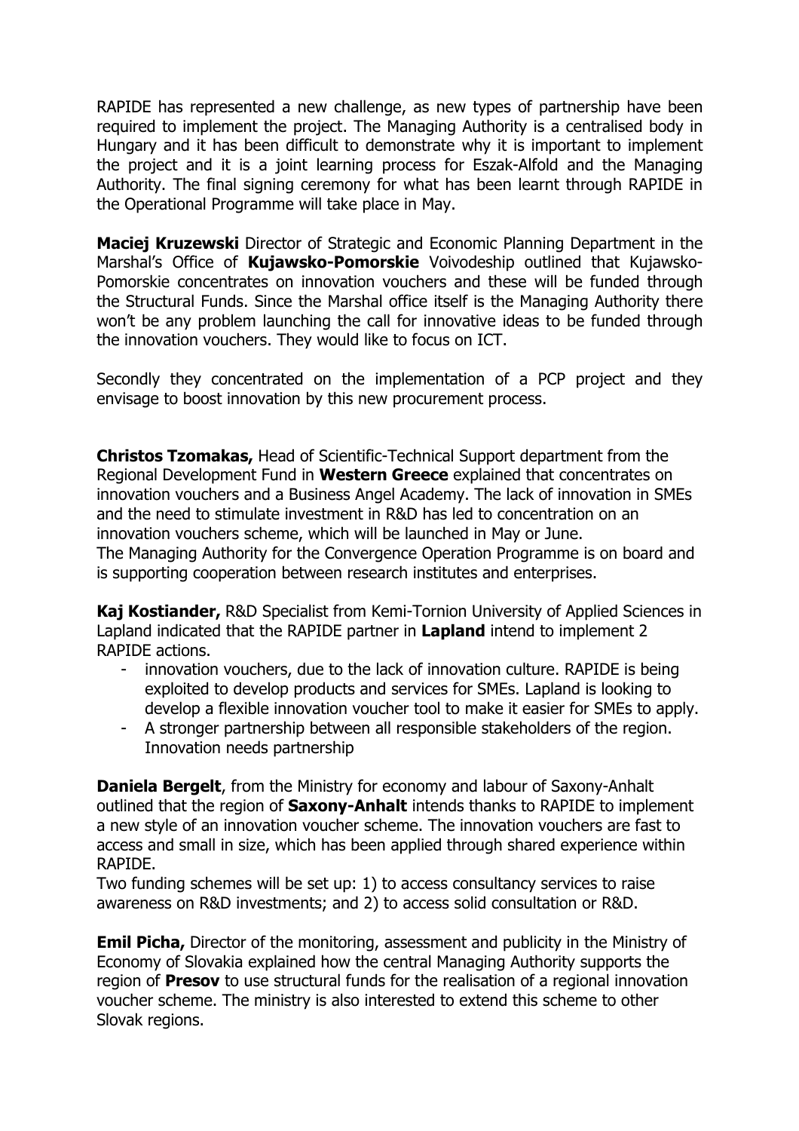RAPIDE has represented a new challenge, as new types of partnership have been required to implement the project. The Managing Authority is a centralised body in Hungary and it has been difficult to demonstrate why it is important to implement the project and it is a joint learning process for Eszak-Alfold and the Managing Authority. The final signing ceremony for what has been learnt through RAPIDE in the Operational Programme will take place in May.

**Maciej Kruzewski** Director of Strategic and Economic Planning Department in the Marshal's Office of **Kujawsko-Pomorskie** Voivodeship outlined that Kujawsko-Pomorskie concentrates on innovation vouchers and these will be funded through the Structural Funds. Since the Marshal office itself is the Managing Authority there won't be any problem launching the call for innovative ideas to be funded through the innovation vouchers. They would like to focus on ICT.

Secondly they concentrated on the implementation of a PCP project and they envisage to boost innovation by this new procurement process.

**Christos Tzomakas,** Head of Scientific-Technical Support department from the Regional Development Fund in **Western Greece** explained that concentrates on innovation vouchers and a Business Angel Academy. The lack of innovation in SMEs and the need to stimulate investment in R&D has led to concentration on an innovation vouchers scheme, which will be launched in May or June. The Managing Authority for the Convergence Operation Programme is on board and is supporting cooperation between research institutes and enterprises.

**Kaj Kostiander,** R&D Specialist from Kemi-Tornion University of Applied Sciences in Lapland indicated that the RAPIDE partner in **Lapland** intend to implement 2 RAPIDE actions.

- innovation vouchers, due to the lack of innovation culture. RAPIDE is being exploited to develop products and services for SMEs. Lapland is looking to develop a flexible innovation voucher tool to make it easier for SMEs to apply.
- A stronger partnership between all responsible stakeholders of the region. Innovation needs partnership

**Daniela Bergelt**, from the Ministry for economy and labour of Saxony-Anhalt outlined that the region of **Saxony-Anhalt** intends thanks to RAPIDE to implement a new style of an innovation voucher scheme. The innovation vouchers are fast to access and small in size, which has been applied through shared experience within RAPIDE.

Two funding schemes will be set up: 1) to access consultancy services to raise awareness on R&D investments; and 2) to access solid consultation or R&D.

**Emil Picha,** Director of the monitoring, assessment and publicity in the Ministry of Economy of Slovakia explained how the central Managing Authority supports the region of **Presov** to use structural funds for the realisation of a regional innovation voucher scheme. The ministry is also interested to extend this scheme to other Slovak regions.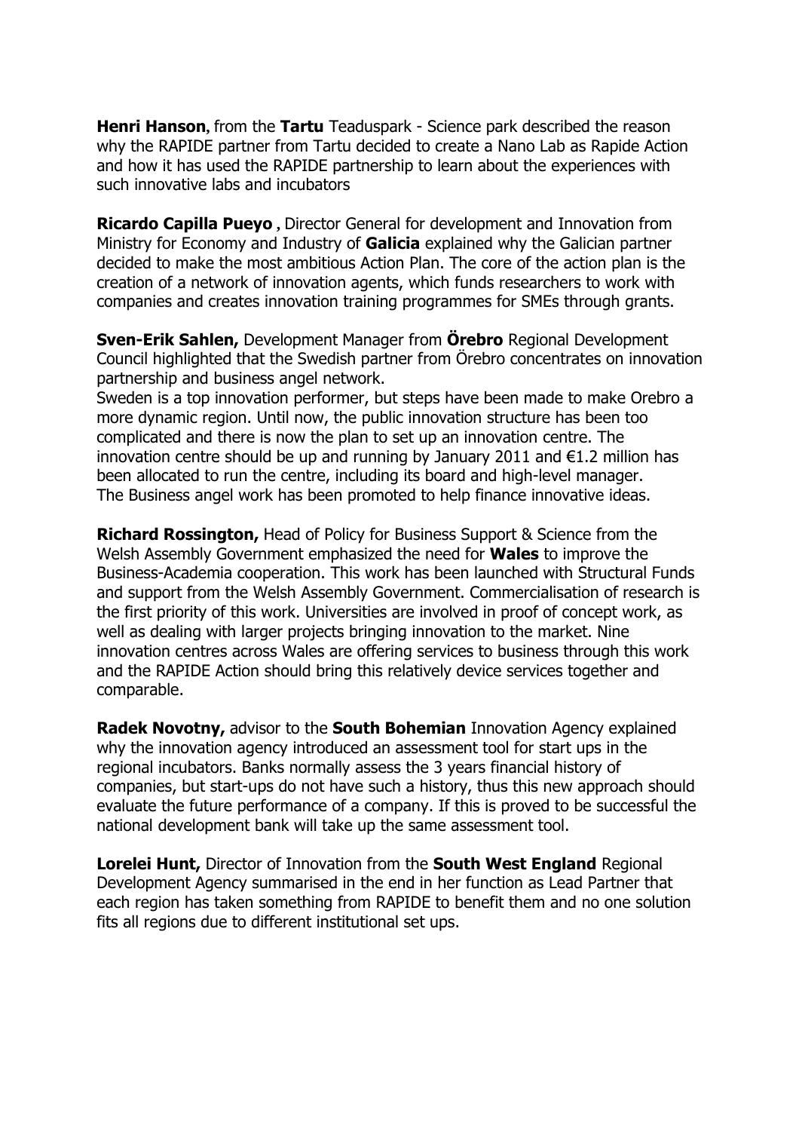**Henri Hanson,** from the **Tartu** Teaduspark - Science park described the reason why the RAPIDE partner from Tartu decided to create a Nano Lab as Rapide Action and how it has used the RAPIDE partnership to learn about the experiences with such innovative labs and incubators

**Ricardo Capilla Pueyo ,** Director General for development and Innovation from Ministry for Economy and Industry of **Galicia** explained why the Galician partner decided to make the most ambitious Action Plan. The core of the action plan is the creation of a network of innovation agents, which funds researchers to work with companies and creates innovation training programmes for SMEs through grants.

**Sven-Erik Sahlen,** Development Manager from **Örebro** Regional Development Council highlighted that the Swedish partner from Örebro concentrates on innovation partnership and business angel network.

Sweden is a top innovation performer, but steps have been made to make Orebro a more dynamic region. Until now, the public innovation structure has been too complicated and there is now the plan to set up an innovation centre. The innovation centre should be up and running by January 2011 and  $\epsilon$ 1.2 million has been allocated to run the centre, including its board and high-level manager. The Business angel work has been promoted to help finance innovative ideas.

**Richard Rossington,** Head of Policy for Business Support & Science from the Welsh Assembly Government emphasized the need for **Wales** to improve the Business-Academia cooperation. This work has been launched with Structural Funds and support from the Welsh Assembly Government. Commercialisation of research is the first priority of this work. Universities are involved in proof of concept work, as well as dealing with larger projects bringing innovation to the market. Nine innovation centres across Wales are offering services to business through this work and the RAPIDE Action should bring this relatively device services together and comparable.

**Radek Novotny,** advisor to the **South Bohemian** Innovation Agency explained why the innovation agency introduced an assessment tool for start ups in the regional incubators. Banks normally assess the 3 years financial history of companies, but start-ups do not have such a history, thus this new approach should evaluate the future performance of a company. If this is proved to be successful the national development bank will take up the same assessment tool.

**Lorelei Hunt,** Director of Innovation from the **South West England** Regional Development Agency summarised in the end in her function as Lead Partner that each region has taken something from RAPIDE to benefit them and no one solution fits all regions due to different institutional set ups.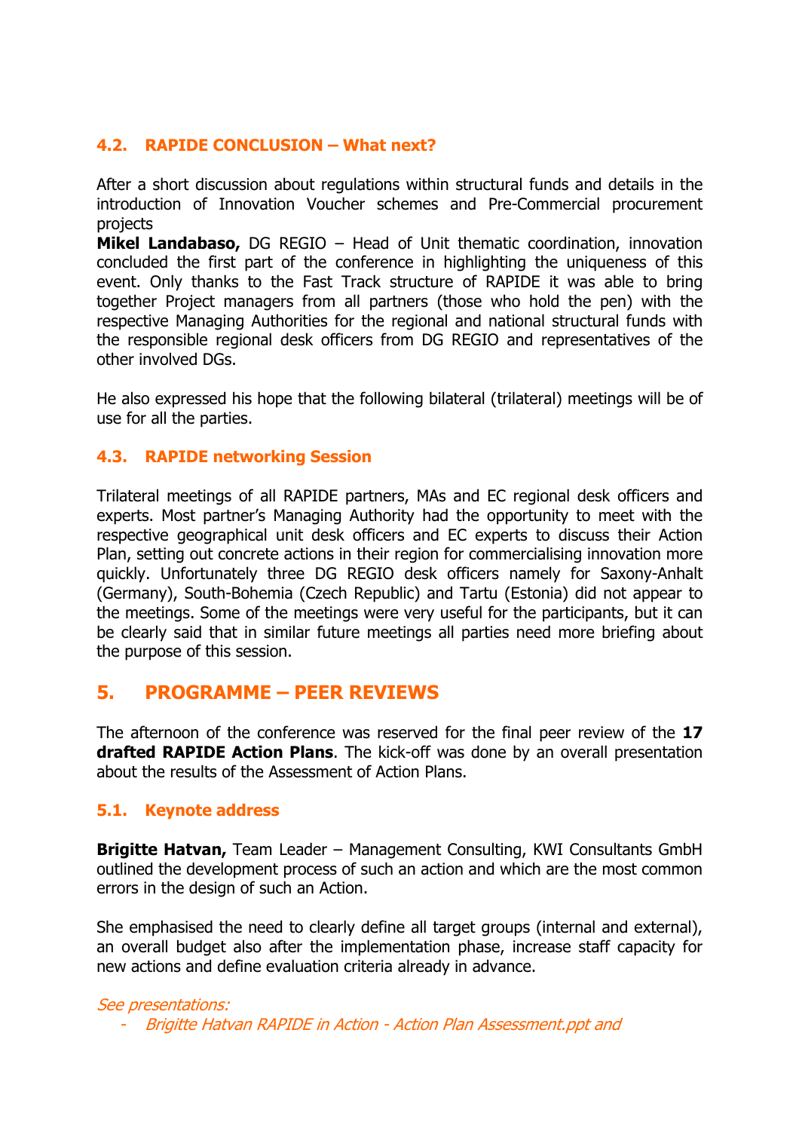# **4.2. RAPIDE CONCLUSION – What next?**

After a short discussion about regulations within structural funds and details in the introduction of Innovation Voucher schemes and Pre-Commercial procurement projects

**Mikel Landabaso,** DG REGIO – Head of Unit thematic coordination, innovation concluded the first part of the conference in highlighting the uniqueness of this event. Only thanks to the Fast Track structure of RAPIDE it was able to bring together Project managers from all partners (those who hold the pen) with the respective Managing Authorities for the regional and national structural funds with the responsible regional desk officers from DG REGIO and representatives of the other involved DGs.

He also expressed his hope that the following bilateral (trilateral) meetings will be of use for all the parties.

### **4.3. RAPIDE networking Session**

Trilateral meetings of all RAPIDE partners, MAs and EC regional desk officers and experts. Most partner's Managing Authority had the opportunity to meet with the respective geographical unit desk officers and EC experts to discuss their Action Plan, setting out concrete actions in their region for commercialising innovation more quickly. Unfortunately three DG REGIO desk officers namely for Saxony-Anhalt (Germany), South-Bohemia (Czech Republic) and Tartu (Estonia) did not appear to the meetings. Some of the meetings were very useful for the participants, but it can be clearly said that in similar future meetings all parties need more briefing about the purpose of this session.

# **5. PROGRAMME – PEER REVIEWS**

The afternoon of the conference was reserved for the final peer review of the **17 drafted RAPIDE Action Plans**. The kick-off was done by an overall presentation about the results of the Assessment of Action Plans.

### **5.1. Keynote address**

**Brigitte Hatvan,** Team Leader – Management Consulting, KWI Consultants GmbH outlined the development process of such an action and which are the most common errors in the design of such an Action.

She emphasised the need to clearly define all target groups (internal and external), an overall budget also after the implementation phase, increase staff capacity for new actions and define evaluation criteria already in advance.

#### See presentations:

- Brigitte Hatvan RAPIDE in Action - Action Plan Assessment.ppt and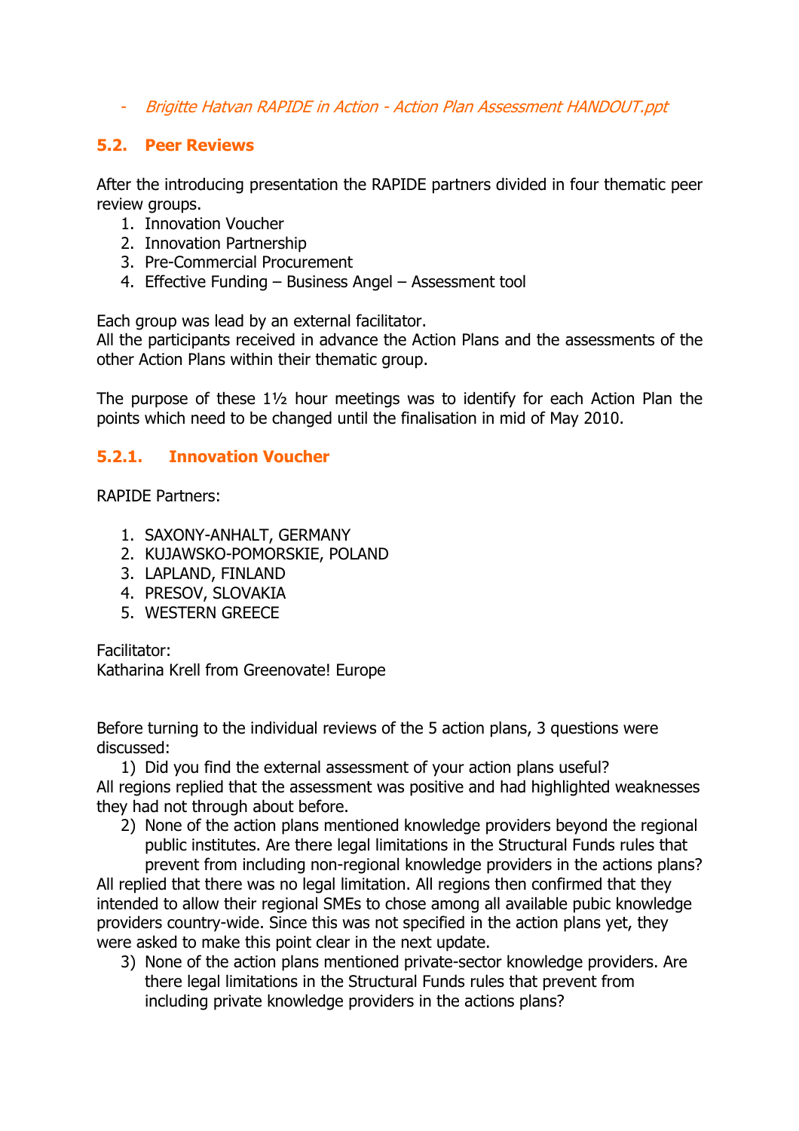- Brigitte Hatvan RAPIDE in Action - Action Plan Assessment HANDOUT.ppt

# **5.2. Peer Reviews**

After the introducing presentation the RAPIDE partners divided in four thematic peer review groups.

- 1. Innovation Voucher
- 2. Innovation Partnership
- 3. Pre-Commercial Procurement
- 4. Effective Funding Business Angel Assessment tool

Each group was lead by an external facilitator.

All the participants received in advance the Action Plans and the assessments of the other Action Plans within their thematic group.

The purpose of these 1½ hour meetings was to identify for each Action Plan the points which need to be changed until the finalisation in mid of May 2010.

# **5.2.1. Innovation Voucher**

RAPIDE Partners:

- 1. SAXONY-ANHALT, GERMANY
- 2. KUJAWSKO-POMORSKIE, POLAND
- 3. LAPLAND, FINLAND
- 4. PRESOV, SLOVAKIA
- 5. WESTERN GREECE

Facilitator:

Katharina Krell from Greenovate! Europe

Before turning to the individual reviews of the 5 action plans, 3 questions were discussed:

1) Did you find the external assessment of your action plans useful? All regions replied that the assessment was positive and had highlighted weaknesses they had not through about before.

2) None of the action plans mentioned knowledge providers beyond the regional public institutes. Are there legal limitations in the Structural Funds rules that prevent from including non-regional knowledge providers in the actions plans?

All replied that there was no legal limitation. All regions then confirmed that they intended to allow their regional SMEs to chose among all available pubic knowledge providers country-wide. Since this was not specified in the action plans yet, they were asked to make this point clear in the next update.

3) None of the action plans mentioned private-sector knowledge providers. Are there legal limitations in the Structural Funds rules that prevent from including private knowledge providers in the actions plans?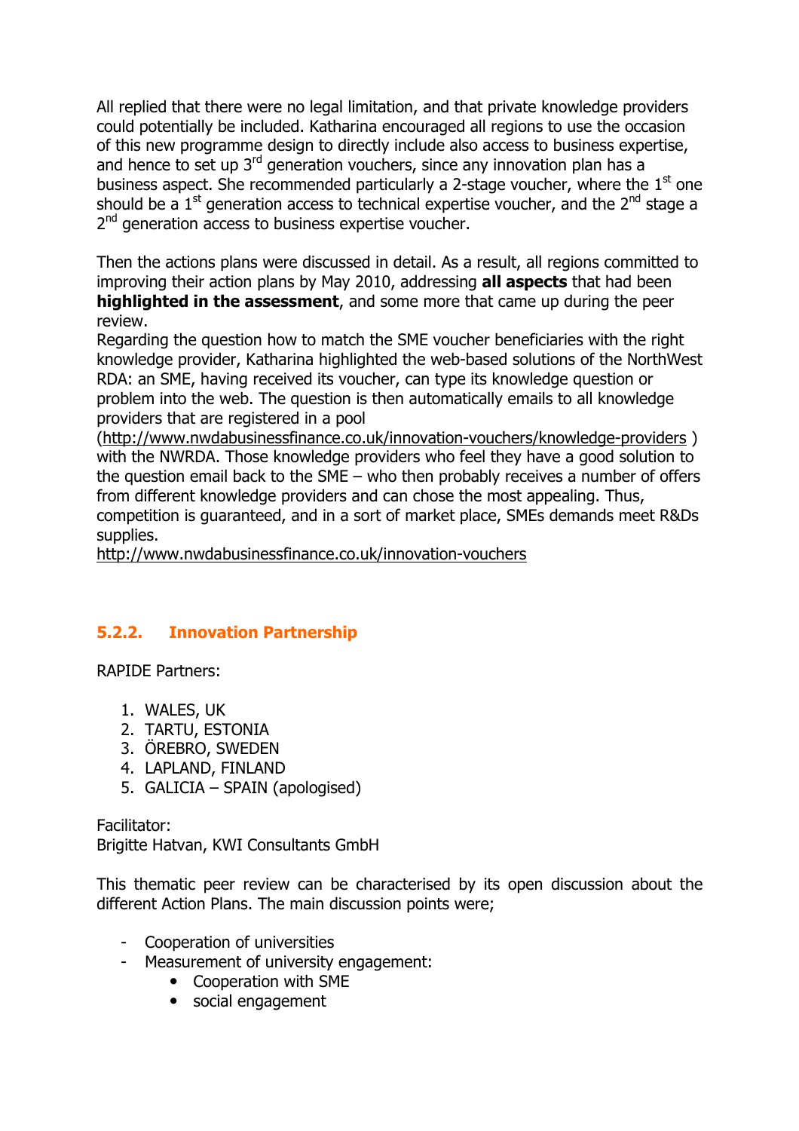All replied that there were no legal limitation, and that private knowledge providers could potentially be included. Katharina encouraged all regions to use the occasion of this new programme design to directly include also access to business expertise, and hence to set up 3<sup>rd</sup> generation vouchers, since any innovation plan has a business aspect. She recommended particularly a 2-stage voucher, where the  $1<sup>st</sup>$  one should be a  $1<sup>st</sup>$  generation access to technical expertise voucher, and the  $2<sup>nd</sup>$  stage a 2<sup>nd</sup> generation access to business expertise voucher.

Then the actions plans were discussed in detail. As a result, all regions committed to improving their action plans by May 2010, addressing **all aspects** that had been **highlighted in the assessment**, and some more that came up during the peer review.

Regarding the question how to match the SME voucher beneficiaries with the right knowledge provider, Katharina highlighted the web-based solutions of the NorthWest RDA: an SME, having received its voucher, can type its knowledge question or problem into the web. The question is then automatically emails to all knowledge providers that are registered in a pool

(http://www.nwdabusinessfinance.co.uk/innovation-vouchers/knowledge-providers ) with the NWRDA. Those knowledge providers who feel they have a good solution to the question email back to the SME – who then probably receives a number of offers from different knowledge providers and can chose the most appealing. Thus, competition is guaranteed, and in a sort of market place, SMEs demands meet R&Ds supplies.

http://www.nwdabusinessfinance.co.uk/innovation-vouchers

# **5.2.2. Innovation Partnership**

RAPIDE Partners:

- 1. WALES, UK
- 2. TARTU, ESTONIA
- 3. ÖREBRO, SWEDEN
- 4. LAPLAND, FINLAND
- 5. GALICIA SPAIN (apologised)

Facilitator:

Brigitte Hatvan, KWI Consultants GmbH

This thematic peer review can be characterised by its open discussion about the different Action Plans. The main discussion points were;

- Cooperation of universities
- Measurement of university engagement:
	- Cooperation with SME
		- social engagement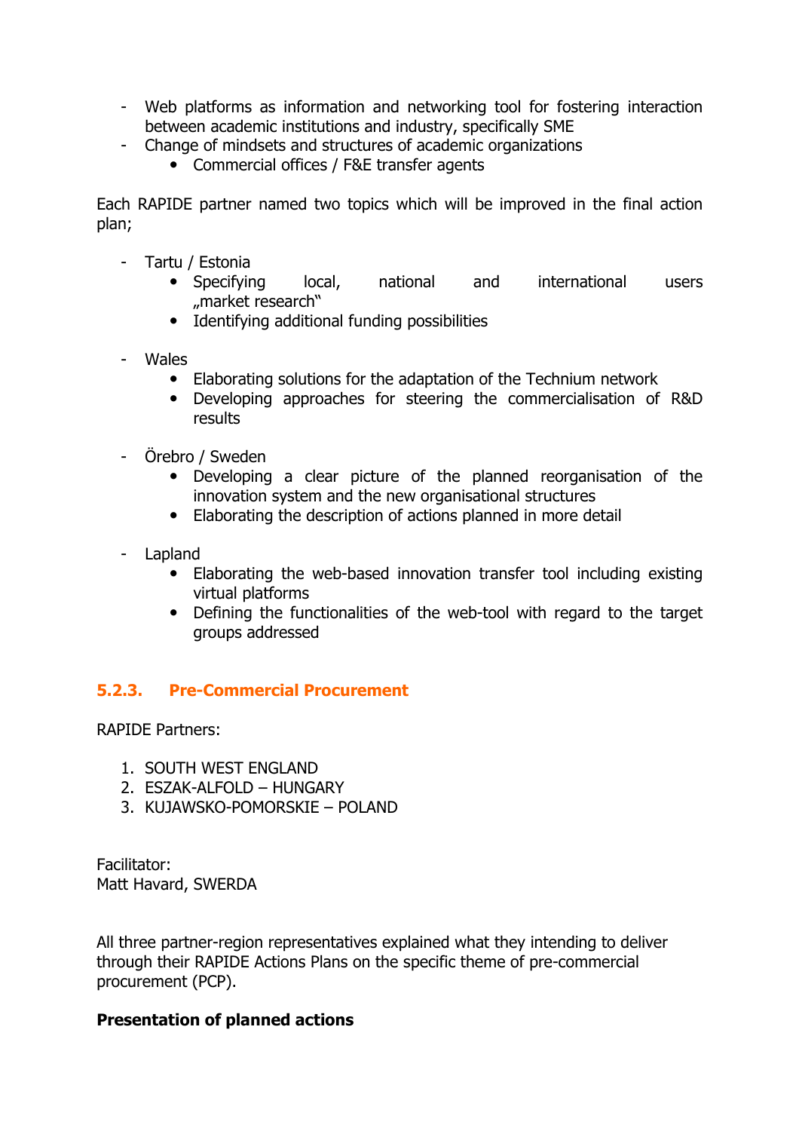- Web platforms as information and networking tool for fostering interaction between academic institutions and industry, specifically SME
- Change of mindsets and structures of academic organizations
	- Commercial offices / F&E transfer agents

Each RAPIDE partner named two topics which will be improved in the final action plan;

- Tartu / Estonia
	- Specifying local, national and international users "market research"
	- Identifying additional funding possibilities
- Wales
	- Elaborating solutions for the adaptation of the Technium network
	- Developing approaches for steering the commercialisation of R&D results
- Örebro / Sweden
	- Developing a clear picture of the planned reorganisation of the innovation system and the new organisational structures
	- Elaborating the description of actions planned in more detail
- Lapland
	- Elaborating the web-based innovation transfer tool including existing virtual platforms
	- Defining the functionalities of the web-tool with regard to the target groups addressed

### **5.2.3. Pre-Commercial Procurement**

RAPIDE Partners:

- 1. SOUTH WEST ENGLAND
- 2. ESZAK-ALFOLD HUNGARY
- 3. KUJAWSKO-POMORSKIE POLAND

Facilitator: Matt Havard, SWERDA

All three partner-region representatives explained what they intending to deliver through their RAPIDE Actions Plans on the specific theme of pre-commercial procurement (PCP).

#### **Presentation of planned actions**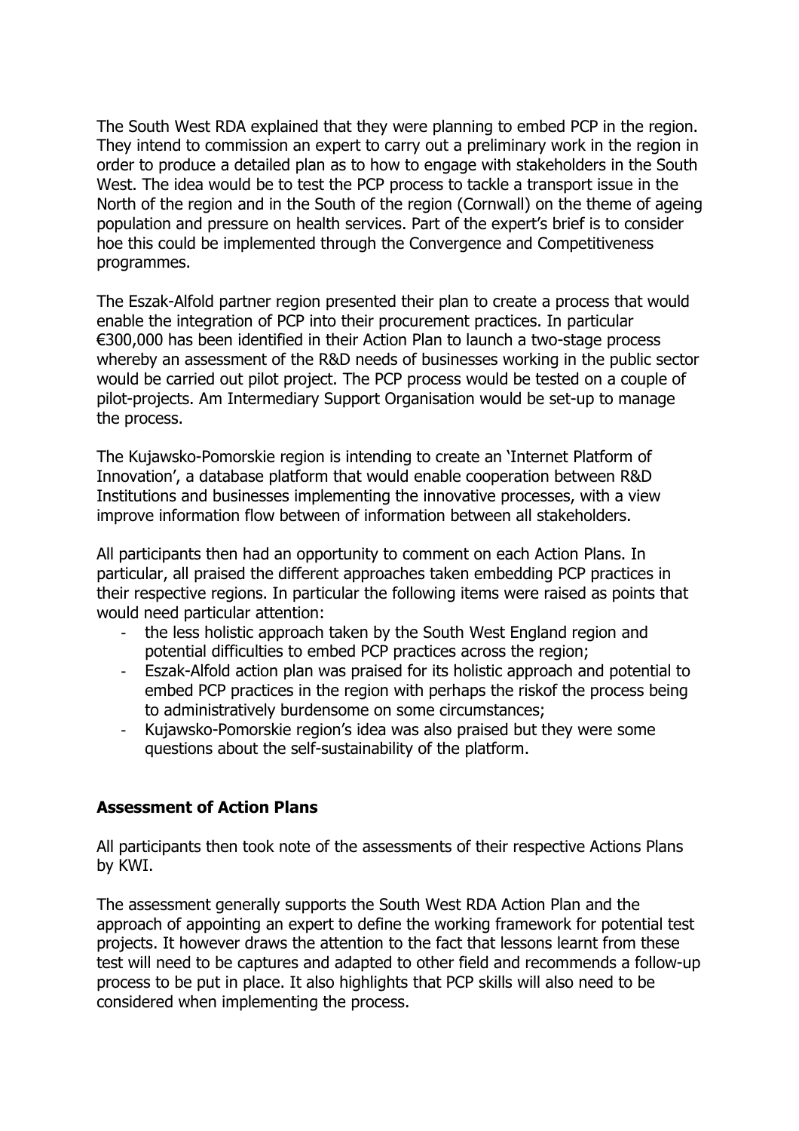The South West RDA explained that they were planning to embed PCP in the region. They intend to commission an expert to carry out a preliminary work in the region in order to produce a detailed plan as to how to engage with stakeholders in the South West. The idea would be to test the PCP process to tackle a transport issue in the North of the region and in the South of the region (Cornwall) on the theme of ageing population and pressure on health services. Part of the expert's brief is to consider hoe this could be implemented through the Convergence and Competitiveness programmes.

The Eszak-Alfold partner region presented their plan to create a process that would enable the integration of PCP into their procurement practices. In particular €300,000 has been identified in their Action Plan to launch a two-stage process whereby an assessment of the R&D needs of businesses working in the public sector would be carried out pilot project. The PCP process would be tested on a couple of pilot-projects. Am Intermediary Support Organisation would be set-up to manage the process.

The Kujawsko-Pomorskie region is intending to create an 'Internet Platform of Innovation', a database platform that would enable cooperation between R&D Institutions and businesses implementing the innovative processes, with a view improve information flow between of information between all stakeholders.

All participants then had an opportunity to comment on each Action Plans. In particular, all praised the different approaches taken embedding PCP practices in their respective regions. In particular the following items were raised as points that would need particular attention:

- the less holistic approach taken by the South West England region and potential difficulties to embed PCP practices across the region;
- Eszak-Alfold action plan was praised for its holistic approach and potential to embed PCP practices in the region with perhaps the riskof the process being to administratively burdensome on some circumstances;
- Kujawsko-Pomorskie region's idea was also praised but they were some questions about the self-sustainability of the platform.

### **Assessment of Action Plans**

All participants then took note of the assessments of their respective Actions Plans by KWI.

The assessment generally supports the South West RDA Action Plan and the approach of appointing an expert to define the working framework for potential test projects. It however draws the attention to the fact that lessons learnt from these test will need to be captures and adapted to other field and recommends a follow-up process to be put in place. It also highlights that PCP skills will also need to be considered when implementing the process.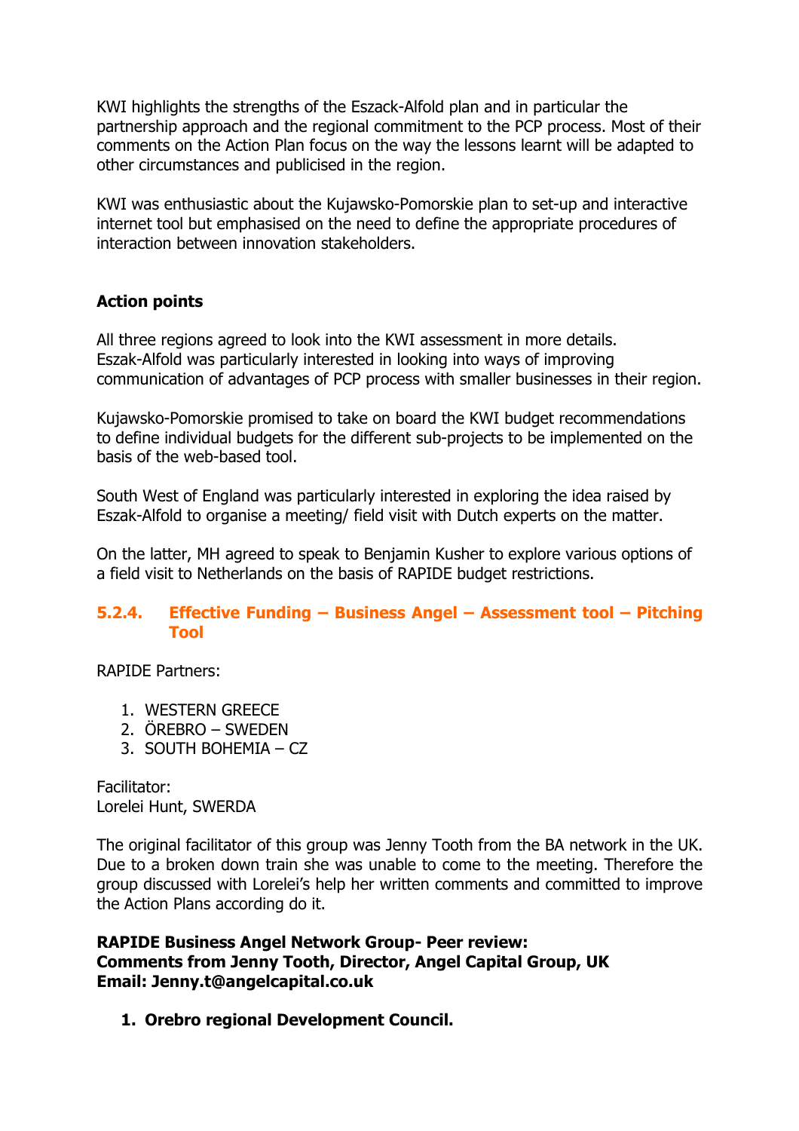KWI highlights the strengths of the Eszack-Alfold plan and in particular the partnership approach and the regional commitment to the PCP process. Most of their comments on the Action Plan focus on the way the lessons learnt will be adapted to other circumstances and publicised in the region.

KWI was enthusiastic about the Kujawsko-Pomorskie plan to set-up and interactive internet tool but emphasised on the need to define the appropriate procedures of interaction between innovation stakeholders.

# **Action points**

All three regions agreed to look into the KWI assessment in more details. Eszak-Alfold was particularly interested in looking into ways of improving communication of advantages of PCP process with smaller businesses in their region.

Kujawsko-Pomorskie promised to take on board the KWI budget recommendations to define individual budgets for the different sub-projects to be implemented on the basis of the web-based tool.

South West of England was particularly interested in exploring the idea raised by Eszak-Alfold to organise a meeting/ field visit with Dutch experts on the matter.

On the latter, MH agreed to speak to Benjamin Kusher to explore various options of a field visit to Netherlands on the basis of RAPIDE budget restrictions.

### **5.2.4. Effective Funding – Business Angel – Assessment tool – Pitching Tool**

RAPIDE Partners:

- 1. WESTERN GREECE
- 2. ÖREBRO SWEDEN
- 3. SOUTH BOHEMIA CZ

Facilitator: Lorelei Hunt, SWERDA

The original facilitator of this group was Jenny Tooth from the BA network in the UK. Due to a broken down train she was unable to come to the meeting. Therefore the group discussed with Lorelei's help her written comments and committed to improve the Action Plans according do it.

#### **RAPIDE Business Angel Network Group- Peer review: Comments from Jenny Tooth, Director, Angel Capital Group, UK Email: Jenny.t@angelcapital.co.uk**

**1. Orebro regional Development Council.**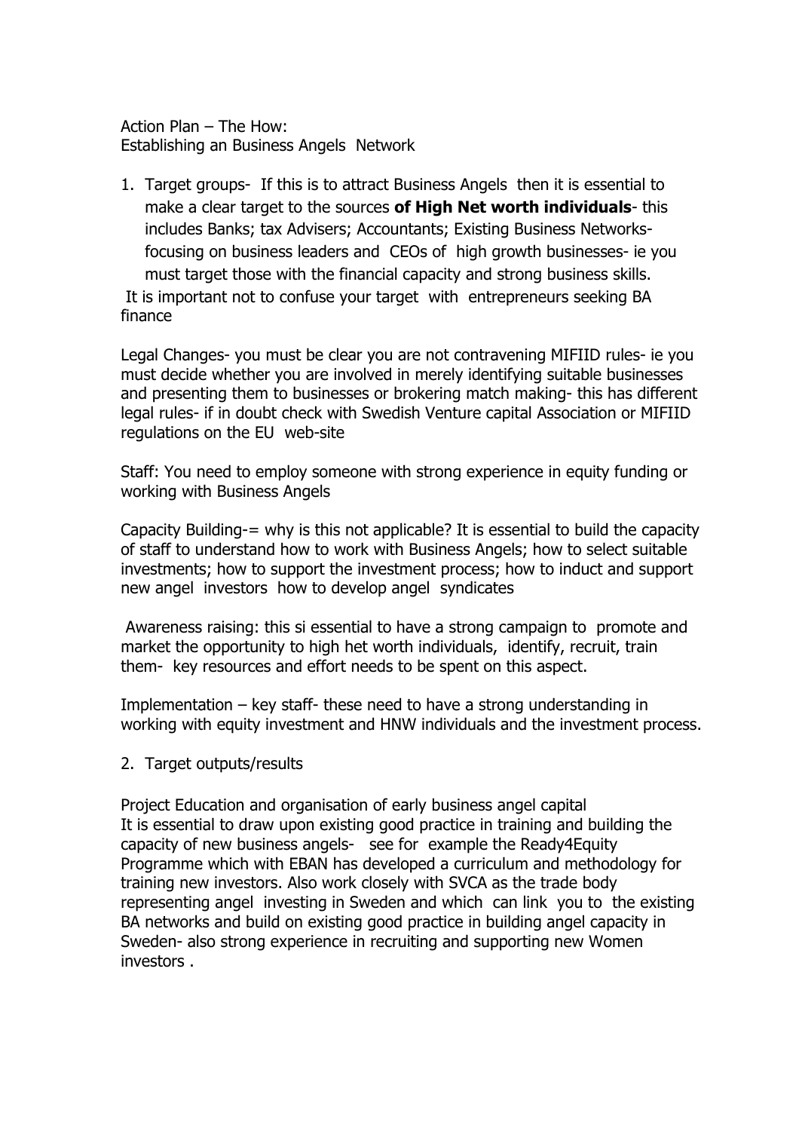Action Plan – The How: Establishing an Business Angels Network

1. Target groups- If this is to attract Business Angels then it is essential to make a clear target to the sources **of High Net worth individuals**- this includes Banks; tax Advisers; Accountants; Existing Business Networksfocusing on business leaders and CEOs of high growth businesses- ie you must target those with the financial capacity and strong business skills. It is important not to confuse your target with entrepreneurs seeking BA finance

Legal Changes- you must be clear you are not contravening MIFIID rules- ie you must decide whether you are involved in merely identifying suitable businesses and presenting them to businesses or brokering match making- this has different legal rules- if in doubt check with Swedish Venture capital Association or MIFIID regulations on the EU web-site

Staff: You need to employ someone with strong experience in equity funding or working with Business Angels

Capacity Building-= why is this not applicable? It is essential to build the capacity of staff to understand how to work with Business Angels; how to select suitable investments; how to support the investment process; how to induct and support new angel investors how to develop angel syndicates

 Awareness raising: this si essential to have a strong campaign to promote and market the opportunity to high het worth individuals, identify, recruit, train them- key resources and effort needs to be spent on this aspect.

Implementation – key staff- these need to have a strong understanding in working with equity investment and HNW individuals and the investment process.

2. Target outputs/results

Project Education and organisation of early business angel capital It is essential to draw upon existing good practice in training and building the capacity of new business angels- see for example the Ready4Equity Programme which with EBAN has developed a curriculum and methodology for training new investors. Also work closely with SVCA as the trade body representing angel investing in Sweden and which can link you to the existing BA networks and build on existing good practice in building angel capacity in Sweden- also strong experience in recruiting and supporting new Women investors .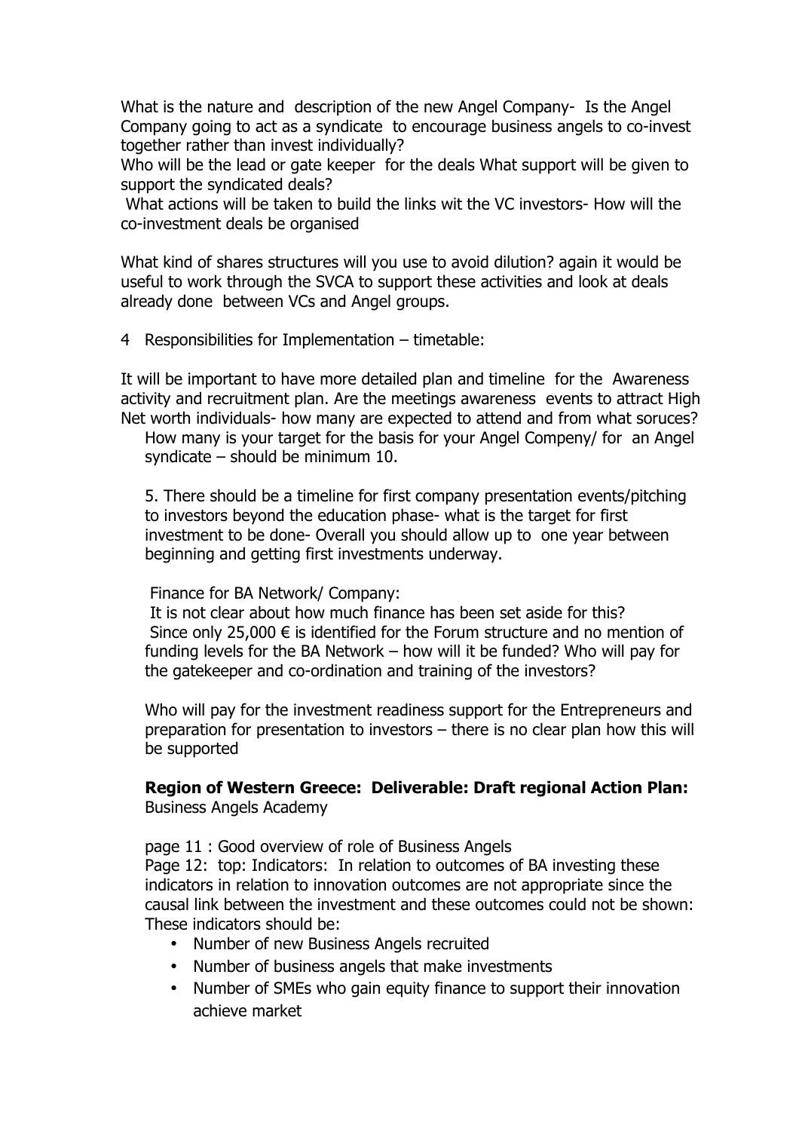What is the nature and description of the new Angel Company- Is the Angel Company going to act as a syndicate to encourage business angels to co-invest together rather than invest individually?

Who will be the lead or gate keeper for the deals What support will be given to support the syndicated deals?

 What actions will be taken to build the links wit the VC investors- How will the co-investment deals be organised

What kind of shares structures will you use to avoid dilution? again it would be useful to work through the SVCA to support these activities and look at deals already done between VCs and Angel groups.

4 Responsibilities for Implementation – timetable:

It will be important to have more detailed plan and timeline for the Awareness activity and recruitment plan. Are the meetings awareness events to attract High Net worth individuals- how many are expected to attend and from what soruces?

How many is your target for the basis for your Angel Compeny/ for an Angel syndicate – should be minimum 10.

5. There should be a timeline for first company presentation events/pitching to investors beyond the education phase- what is the target for first investment to be done- Overall you should allow up to one year between beginning and getting first investments underway.

Finance for BA Network/ Company:

 It is not clear about how much finance has been set aside for this? Since only 25,000  $\epsilon$  is identified for the Forum structure and no mention of funding levels for the BA Network – how will it be funded? Who will pay for the gatekeeper and co-ordination and training of the investors?

Who will pay for the investment readiness support for the Entrepreneurs and preparation for presentation to investors – there is no clear plan how this will be supported

**Region of Western Greece: Deliverable: Draft regional Action Plan:**  Business Angels Academy

page 11 : Good overview of role of Business Angels

Page 12: top: Indicators: In relation to outcomes of BA investing these indicators in relation to innovation outcomes are not appropriate since the causal link between the investment and these outcomes could not be shown: These indicators should be:

- Number of new Business Angels recruited
- Number of business angels that make investments
- Number of SMEs who gain equity finance to support their innovation achieve market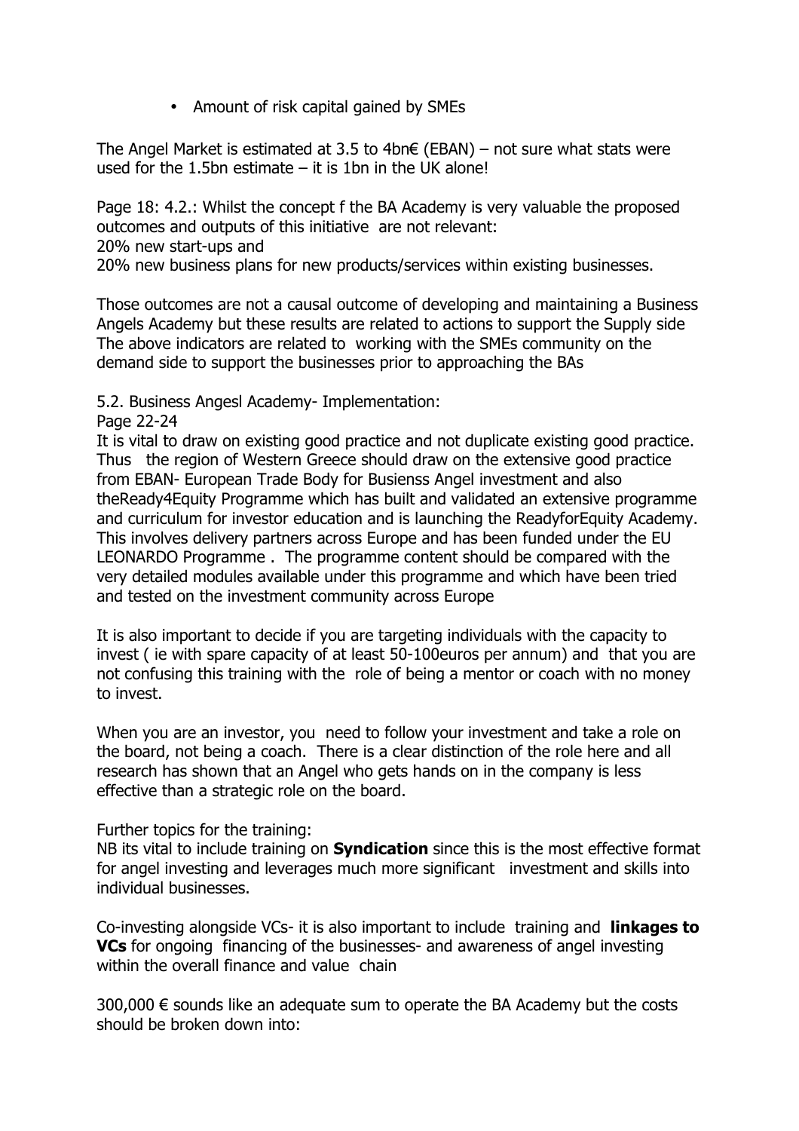• Amount of risk capital gained by SMEs

The Angel Market is estimated at 3.5 to 4bn€ (EBAN) – not sure what stats were used for the 1.5bn estimate  $-$  it is 1bn in the UK alone!

Page 18: 4.2.: Whilst the concept f the BA Academy is very valuable the proposed outcomes and outputs of this initiative are not relevant:

20% new start-ups and

20% new business plans for new products/services within existing businesses.

Those outcomes are not a causal outcome of developing and maintaining a Business Angels Academy but these results are related to actions to support the Supply side The above indicators are related to working with the SMEs community on the demand side to support the businesses prior to approaching the BAs

5.2. Business Angesl Academy- Implementation:

Page 22-24

It is vital to draw on existing good practice and not duplicate existing good practice. Thus the region of Western Greece should draw on the extensive good practice from EBAN- European Trade Body for Busienss Angel investment and also theReady4Equity Programme which has built and validated an extensive programme and curriculum for investor education and is launching the ReadyforEquity Academy. This involves delivery partners across Europe and has been funded under the EU LEONARDO Programme . The programme content should be compared with the very detailed modules available under this programme and which have been tried and tested on the investment community across Europe

It is also important to decide if you are targeting individuals with the capacity to invest ( ie with spare capacity of at least 50-100euros per annum) and that you are not confusing this training with the role of being a mentor or coach with no money to invest.

When you are an investor, you need to follow your investment and take a role on the board, not being a coach. There is a clear distinction of the role here and all research has shown that an Angel who gets hands on in the company is less effective than a strategic role on the board.

Further topics for the training:

NB its vital to include training on **Syndication** since this is the most effective format for angel investing and leverages much more significant investment and skills into individual businesses.

Co-investing alongside VCs- it is also important to include training and **linkages to VCs** for ongoing financing of the businesses- and awareness of angel investing within the overall finance and value chain

 $300,000 \in$  sounds like an adequate sum to operate the BA Academy but the costs should be broken down into: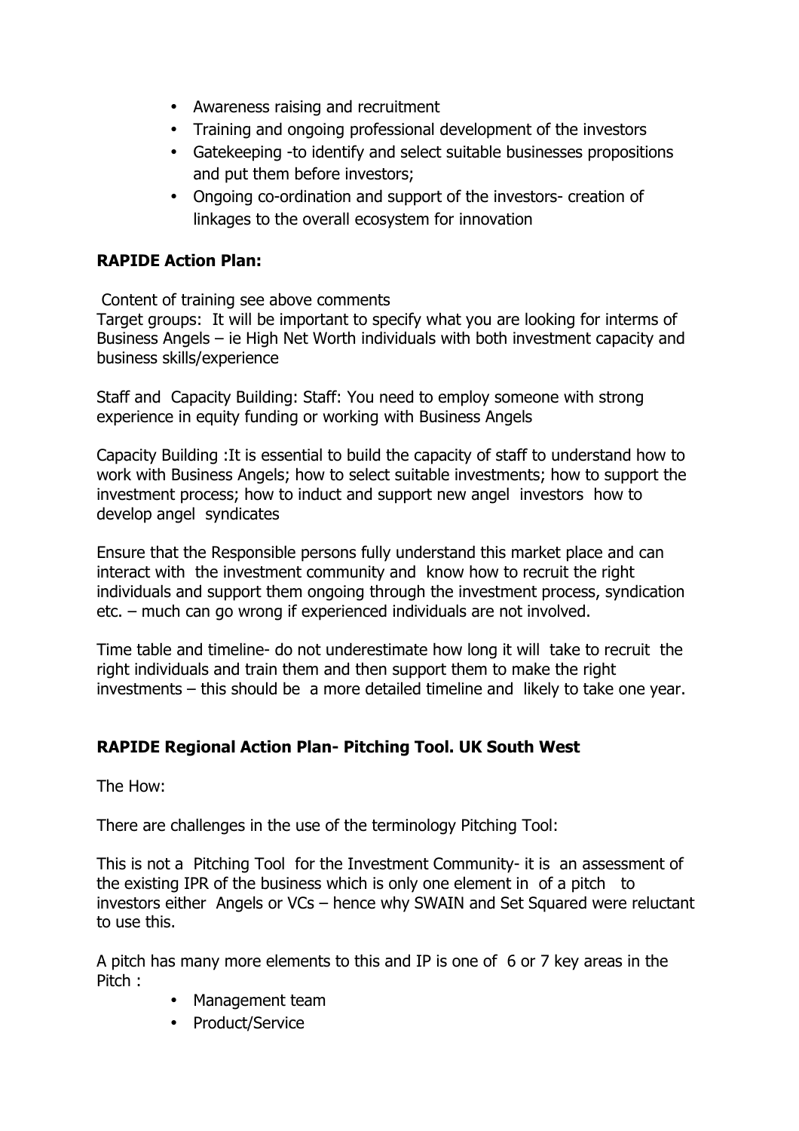- Awareness raising and recruitment
- Training and ongoing professional development of the investors
- Gatekeeping -to identify and select suitable businesses propositions and put them before investors;
- Ongoing co-ordination and support of the investors- creation of linkages to the overall ecosystem for innovation

# **RAPIDE Action Plan:**

Content of training see above comments

Target groups: It will be important to specify what you are looking for interms of Business Angels – ie High Net Worth individuals with both investment capacity and business skills/experience

Staff and Capacity Building: Staff: You need to employ someone with strong experience in equity funding or working with Business Angels

Capacity Building :It is essential to build the capacity of staff to understand how to work with Business Angels; how to select suitable investments; how to support the investment process; how to induct and support new angel investors how to develop angel syndicates

Ensure that the Responsible persons fully understand this market place and can interact with the investment community and know how to recruit the right individuals and support them ongoing through the investment process, syndication etc. – much can go wrong if experienced individuals are not involved.

Time table and timeline- do not underestimate how long it will take to recruit the right individuals and train them and then support them to make the right investments – this should be a more detailed timeline and likely to take one year.

# **RAPIDE Regional Action Plan- Pitching Tool. UK South West**

The How:

There are challenges in the use of the terminology Pitching Tool:

This is not a Pitching Tool for the Investment Community- it is an assessment of the existing IPR of the business which is only one element in of a pitch to investors either Angels or VCs – hence why SWAIN and Set Squared were reluctant to use this.

A pitch has many more elements to this and IP is one of 6 or 7 key areas in the Pitch :

- Management team
- Product/Service